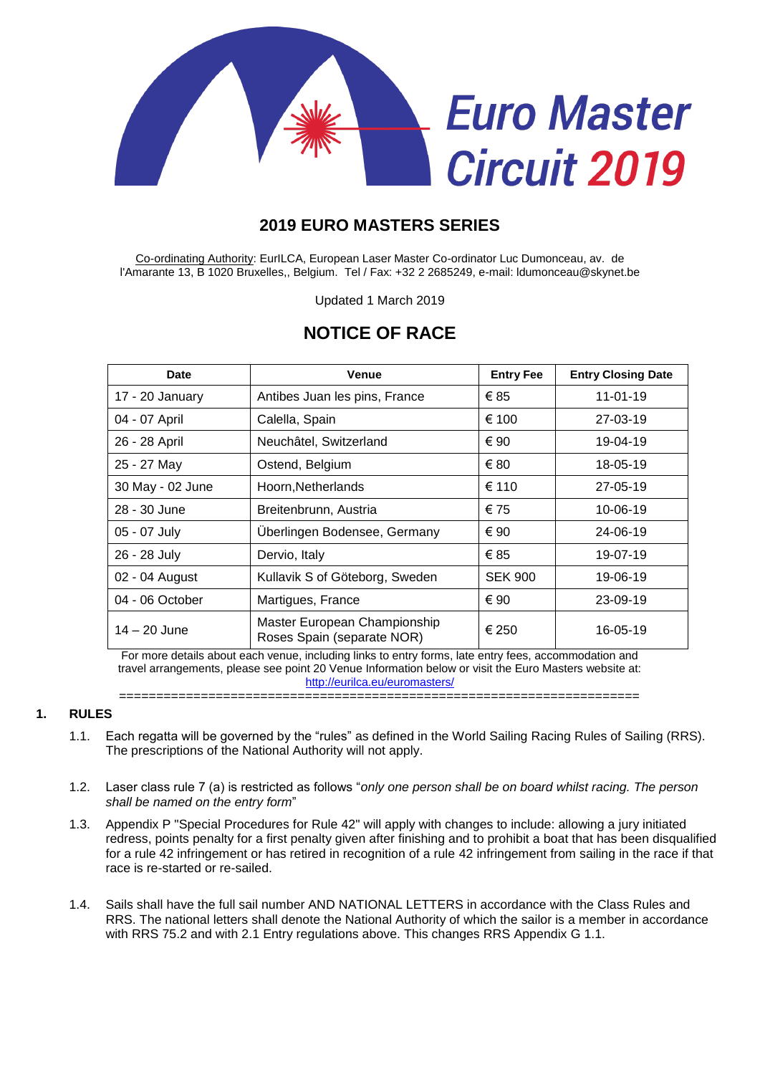

## **2019 EURO MASTERS SERIES**

Co-ordinating Authority: EurILCA, European Laser Master Co-ordinator Luc Dumonceau, av. de l'Amarante 13, B 1020 Bruxelles,, Belgium. Tel / Fax: +32 2 2685249, e-mail: ldumonceau@skynet.be

Updated 1 March 2019

# **NOTICE OF RACE**

| Date             | <b>Venue</b>                                               | <b>Entry Fee</b> | <b>Entry Closing Date</b> |
|------------------|------------------------------------------------------------|------------------|---------------------------|
| 17 - 20 January  | Antibes Juan les pins, France                              | €85              | $11 - 01 - 19$            |
| 04 - 07 April    | Calella, Spain                                             | € 100            | 27-03-19                  |
| 26 - 28 April    | Neuchâtel, Switzerland                                     | € 90             | 19-04-19                  |
| 25 - 27 May      | Ostend, Belgium                                            | € 80             | 18-05-19                  |
| 30 May - 02 June | Hoorn, Netherlands                                         | € 110            | $27 - 05 - 19$            |
| 28 - 30 June     | Breitenbrunn, Austria                                      | € 75             | 10-06-19                  |
| 05 - 07 July     | Überlingen Bodensee, Germany                               | € 90             | 24-06-19                  |
| 26 - 28 July     | Dervio, Italy                                              | €85              | 19-07-19                  |
| 02 - 04 August   | Kullavik S of Göteborg, Sweden                             | <b>SEK 900</b>   | 19-06-19                  |
| 04 - 06 October  | Martigues, France                                          | € 90             | 23-09-19                  |
| $14 - 20$ June   | Master European Championship<br>Roses Spain (separate NOR) | € 250            | 16-05-19                  |

For more details about each venue, including links to entry forms, late entry fees, accommodation and travel arrangements, please see point 20 Venue Information below or visit the Euro Masters website at: <http://eurilca.eu/euromasters/>

======================================================================

#### **1. RULES**

- 1.1. Each regatta will be governed by the "rules" as defined in the World Sailing Racing Rules of Sailing (RRS). The prescriptions of the National Authority will not apply.
- 1.2. Laser class rule 7 (a) is restricted as follows "*only one person shall be on board whilst racing. The person shall be named on the entry form*"
- 1.3. Appendix P "Special Procedures for Rule 42" will apply with changes to include: allowing a jury initiated redress, points penalty for a first penalty given after finishing and to prohibit a boat that has been disqualified for a rule 42 infringement or has retired in recognition of a rule 42 infringement from sailing in the race if that race is re-started or re-sailed.
- 1.4. Sails shall have the full sail number AND NATIONAL LETTERS in accordance with the Class Rules and RRS. The national letters shall denote the National Authority of which the sailor is a member in accordance with RRS 75.2 and with 2.1 Entry regulations above. This changes RRS Appendix G 1.1.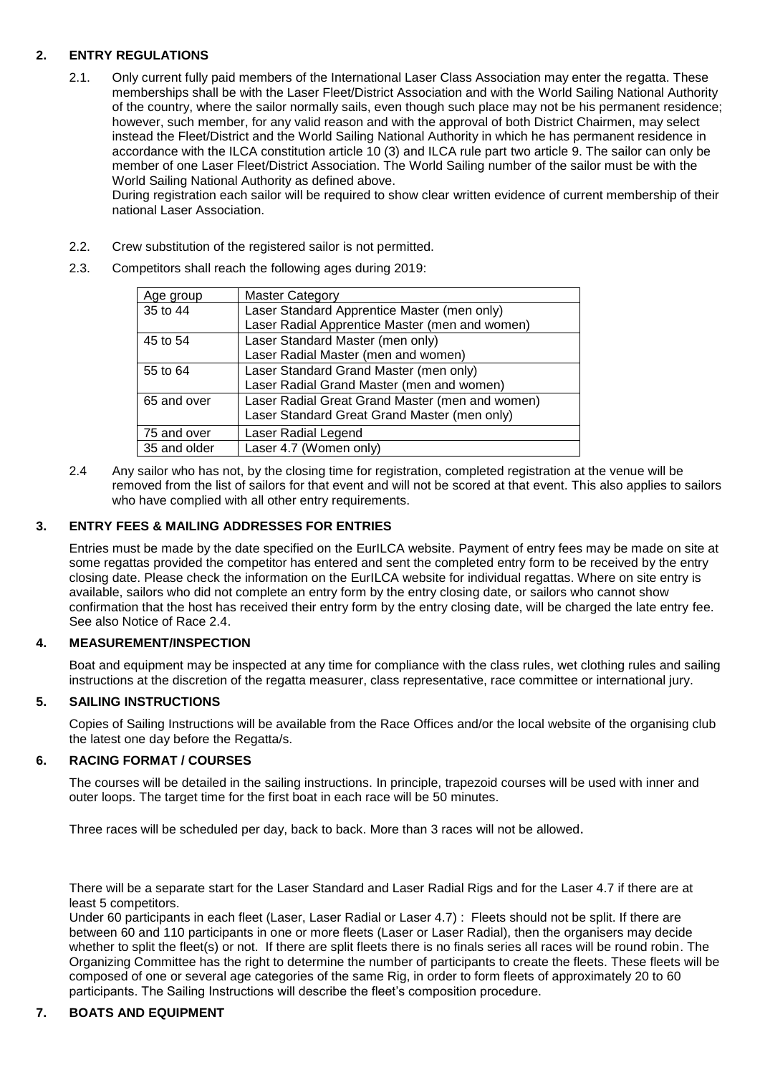## **2. ENTRY REGULATIONS**

2.1. Only current fully paid members of the International Laser Class Association may enter the regatta. These memberships shall be with the Laser Fleet/District Association and with the World Sailing National Authority of the country, where the sailor normally sails, even though such place may not be his permanent residence; however, such member, for any valid reason and with the approval of both District Chairmen, may select instead the Fleet/District and the World Sailing National Authority in which he has permanent residence in accordance with the ILCA constitution article 10 (3) and ILCA rule part two article 9. The sailor can only be member of one Laser Fleet/District Association. The World Sailing number of the sailor must be with the World Sailing National Authority as defined above.

During registration each sailor will be required to show clear written evidence of current membership of their national Laser Association.

- 2.2. Crew substitution of the registered sailor is not permitted.
- 2.3. Competitors shall reach the following ages during 2019:

| Age group    | <b>Master Category</b>                          |
|--------------|-------------------------------------------------|
| 35 to 44     | Laser Standard Apprentice Master (men only)     |
|              | Laser Radial Apprentice Master (men and women)  |
| 45 to 54     | Laser Standard Master (men only)                |
|              | Laser Radial Master (men and women)             |
| 55 to 64     | Laser Standard Grand Master (men only)          |
|              | Laser Radial Grand Master (men and women)       |
| 65 and over  | Laser Radial Great Grand Master (men and women) |
|              | Laser Standard Great Grand Master (men only)    |
| 75 and over  | Laser Radial Legend                             |
| 35 and older | Laser 4.7 (Women only)                          |

2.4 Any sailor who has not, by the closing time for registration, completed registration at the venue will be removed from the list of sailors for that event and will not be scored at that event. This also applies to sailors who have complied with all other entry requirements.

## **3. ENTRY FEES & MAILING ADDRESSES FOR ENTRIES**

Entries must be made by the date specified on the EurILCA website. Payment of entry fees may be made on site at some regattas provided the competitor has entered and sent the completed entry form to be received by the entry closing date. Please check the information on the EurILCA website for individual regattas. Where on site entry is available, sailors who did not complete an entry form by the entry closing date, or sailors who cannot show confirmation that the host has received their entry form by the entry closing date, will be charged the late entry fee. See also Notice of Race 2.4.

## **4. MEASUREMENT/INSPECTION**

Boat and equipment may be inspected at any time for compliance with the class rules, wet clothing rules and sailing instructions at the discretion of the regatta measurer, class representative, race committee or international jury.

## **5. SAILING INSTRUCTIONS**

Copies of Sailing Instructions will be available from the Race Offices and/or the local website of the organising club the latest one day before the Regatta/s.

## **6. RACING FORMAT / COURSES**

The courses will be detailed in the sailing instructions. In principle, trapezoid courses will be used with inner and outer loops. The target time for the first boat in each race will be 50 minutes.

Three races will be scheduled per day, back to back. More than 3 races will not be allowed.

There will be a separate start for the Laser Standard and Laser Radial Rigs and for the Laser 4.7 if there are at least 5 competitors.

Under 60 participants in each fleet (Laser, Laser Radial or Laser 4.7) : Fleets should not be split. If there are between 60 and 110 participants in one or more fleets (Laser or Laser Radial), then the organisers may decide whether to split the fleet(s) or not. If there are split fleets there is no finals series all races will be round robin. The Organizing Committee has the right to determine the number of participants to create the fleets. These fleets will be composed of one or several age categories of the same Rig, in order to form fleets of approximately 20 to 60 participants. The Sailing Instructions will describe the fleet's composition procedure.

## **7. BOATS AND EQUIPMENT**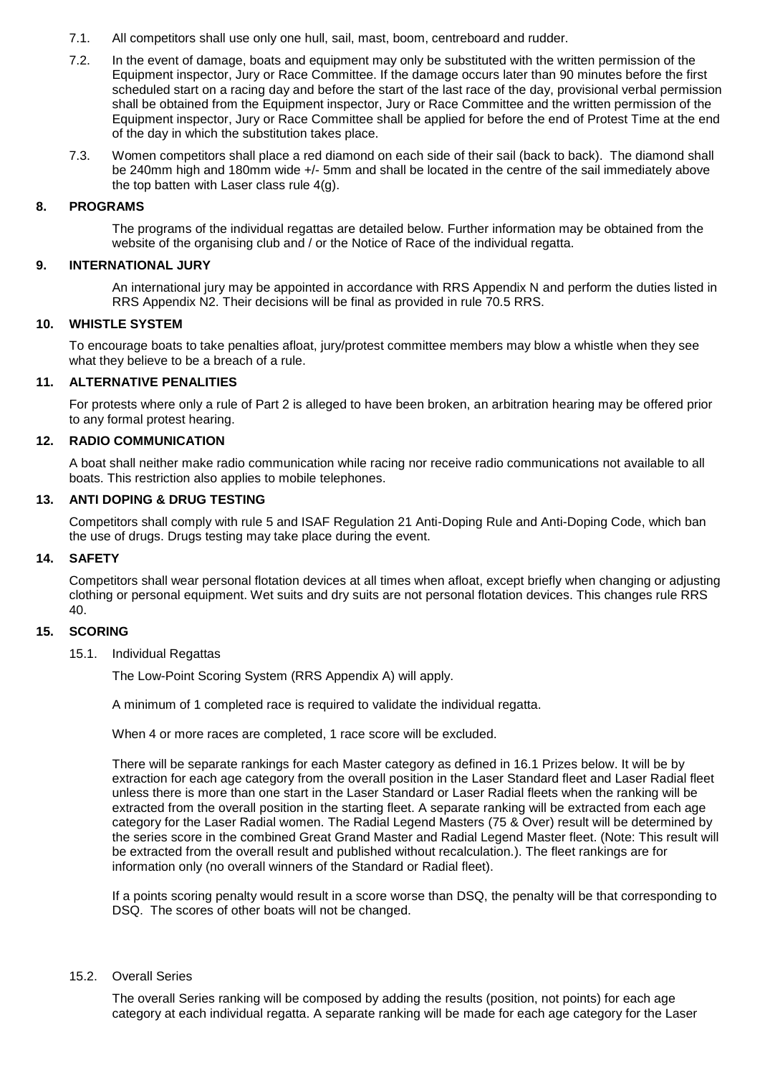- 7.1. All competitors shall use only one hull, sail, mast, boom, centreboard and rudder.
- 7.2. In the event of damage, boats and equipment may only be substituted with the written permission of the Equipment inspector, Jury or Race Committee. If the damage occurs later than 90 minutes before the first scheduled start on a racing day and before the start of the last race of the day, provisional verbal permission shall be obtained from the Equipment inspector, Jury or Race Committee and the written permission of the Equipment inspector, Jury or Race Committee shall be applied for before the end of Protest Time at the end of the day in which the substitution takes place.
- 7.3. Women competitors shall place a red diamond on each side of their sail (back to back). The diamond shall be 240mm high and 180mm wide +/- 5mm and shall be located in the centre of the sail immediately above the top batten with Laser class rule 4(g).

#### **8. PROGRAMS**

The programs of the individual regattas are detailed below. Further information may be obtained from the website of the organising club and / or the Notice of Race of the individual regatta.

#### **9. INTERNATIONAL JURY**

An international jury may be appointed in accordance with RRS Appendix N and perform the duties listed in RRS Appendix N2. Their decisions will be final as provided in rule 70.5 RRS.

#### **10. WHISTLE SYSTEM**

To encourage boats to take penalties afloat, jury/protest committee members may blow a whistle when they see what they believe to be a breach of a rule.

#### **11. ALTERNATIVE PENALITIES**

For protests where only a rule of Part 2 is alleged to have been broken, an arbitration hearing may be offered prior to any formal protest hearing.

#### **12. RADIO COMMUNICATION**

A boat shall neither make radio communication while racing nor receive radio communications not available to all boats. This restriction also applies to mobile telephones.

## **13. ANTI DOPING & DRUG TESTING**

Competitors shall comply with rule 5 and ISAF Regulation 21 Anti-Doping Rule and Anti-Doping Code, which ban the use of drugs. Drugs testing may take place during the event.

#### **14. SAFETY**

Competitors shall wear personal flotation devices at all times when afloat, except briefly when changing or adjusting clothing or personal equipment. Wet suits and dry suits are not personal flotation devices. This changes rule RRS 40.

#### **15. SCORING**

15.1. Individual Regattas

The Low-Point Scoring System (RRS Appendix A) will apply.

A minimum of 1 completed race is required to validate the individual regatta.

When 4 or more races are completed, 1 race score will be excluded.

There will be separate rankings for each Master category as defined in 16.1 Prizes below. It will be by extraction for each age category from the overall position in the Laser Standard fleet and Laser Radial fleet unless there is more than one start in the Laser Standard or Laser Radial fleets when the ranking will be extracted from the overall position in the starting fleet. A separate ranking will be extracted from each age category for the Laser Radial women. The Radial Legend Masters (75 & Over) result will be determined by the series score in the combined Great Grand Master and Radial Legend Master fleet. (Note: This result will be extracted from the overall result and published without recalculation.). The fleet rankings are for information only (no overall winners of the Standard or Radial fleet).

If a points scoring penalty would result in a score worse than DSQ, the penalty will be that corresponding to DSQ. The scores of other boats will not be changed.

#### 15.2. Overall Series

The overall Series ranking will be composed by adding the results (position, not points) for each age category at each individual regatta. A separate ranking will be made for each age category for the Laser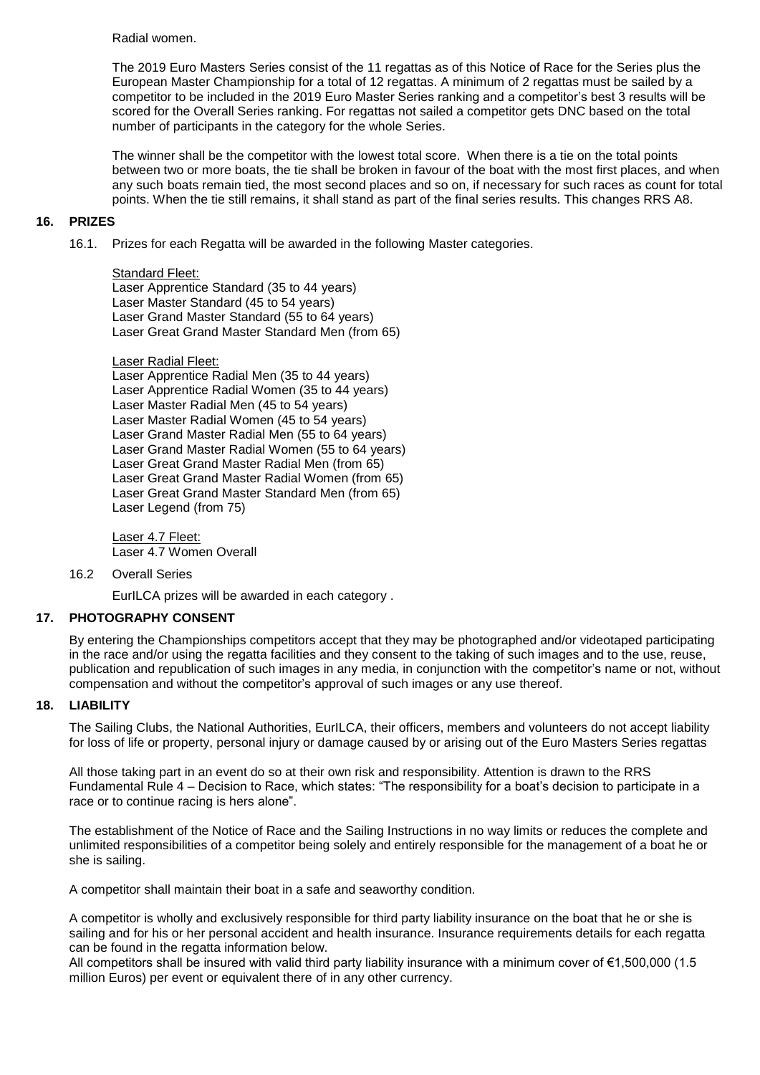Radial women.

The 2019 Euro Masters Series consist of the 11 regattas as of this Notice of Race for the Series plus the European Master Championship for a total of 12 regattas. A minimum of 2 regattas must be sailed by a competitor to be included in the 2019 Euro Master Series ranking and a competitor's best 3 results will be scored for the Overall Series ranking. For regattas not sailed a competitor gets DNC based on the total number of participants in the category for the whole Series.

The winner shall be the competitor with the lowest total score. When there is a tie on the total points between two or more boats, the tie shall be broken in favour of the boat with the most first places, and when any such boats remain tied, the most second places and so on, if necessary for such races as count for total points. When the tie still remains, it shall stand as part of the final series results. This changes RRS A8.

#### **16. PRIZES**

16.1. Prizes for each Regatta will be awarded in the following Master categories.

Standard Fleet: Laser Apprentice Standard (35 to 44 years) Laser Master Standard (45 to 54 years) Laser Grand Master Standard (55 to 64 years) Laser Great Grand Master Standard Men (from 65)

Laser Radial Fleet: Laser Apprentice Radial Men (35 to 44 years) Laser Apprentice Radial Women (35 to 44 years) Laser Master Radial Men (45 to 54 years) Laser Master Radial Women (45 to 54 years) Laser Grand Master Radial Men (55 to 64 years) Laser Grand Master Radial Women (55 to 64 years) Laser Great Grand Master Radial Men (from 65) Laser Great Grand Master Radial Women (from 65) Laser Great Grand Master Standard Men (from 65) Laser Legend (from 75)

Laser 4.7 Fleet: Laser 4.7 Women Overall

#### 16.2 Overall Series

EurILCA prizes will be awarded in each category .

## **17. PHOTOGRAPHY CONSENT**

By entering the Championships competitors accept that they may be photographed and/or videotaped participating in the race and/or using the regatta facilities and they consent to the taking of such images and to the use, reuse, publication and republication of such images in any media, in conjunction with the competitor's name or not, without compensation and without the competitor's approval of such images or any use thereof.

## **18. LIABILITY**

The Sailing Clubs, the National Authorities, EurILCA, their officers, members and volunteers do not accept liability for loss of life or property, personal injury or damage caused by or arising out of the Euro Masters Series regattas

All those taking part in an event do so at their own risk and responsibility. Attention is drawn to the RRS Fundamental Rule 4 – Decision to Race, which states: "The responsibility for a boat's decision to participate in a race or to continue racing is hers alone".

The establishment of the Notice of Race and the Sailing Instructions in no way limits or reduces the complete and unlimited responsibilities of a competitor being solely and entirely responsible for the management of a boat he or she is sailing.

A competitor shall maintain their boat in a safe and seaworthy condition.

A competitor is wholly and exclusively responsible for third party liability insurance on the boat that he or she is sailing and for his or her personal accident and health insurance. Insurance requirements details for each regatta can be found in the regatta information below.

All competitors shall be insured with valid third party liability insurance with a minimum cover of €1,500,000 (1.5 million Euros) per event or equivalent there of in any other currency.